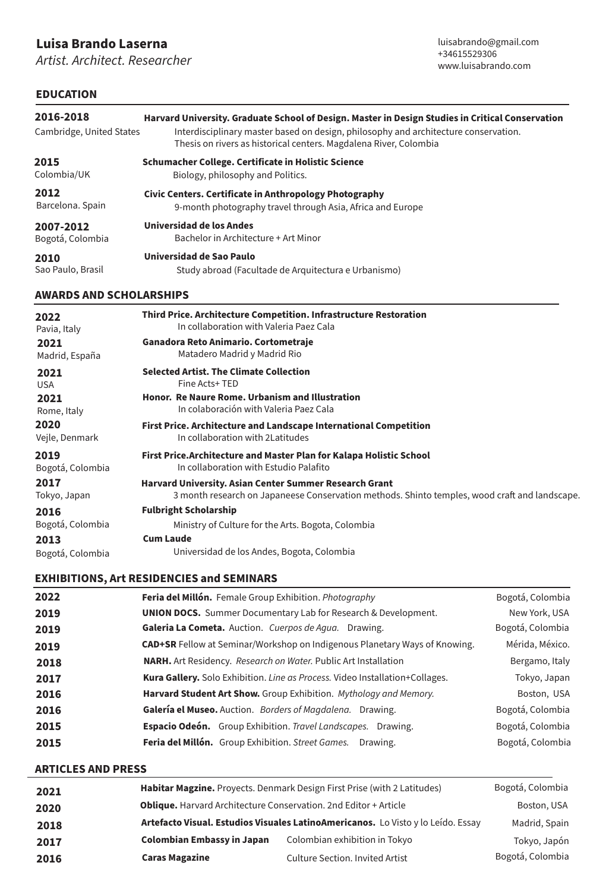# **Luisa Brando Laserna**

*Artist. Architect. Researcher*

## **EDUCATION**

| 2016-2018<br>Cambridge, United States | Harvard University. Graduate School of Design. Master in Design Studies in Critical Conservation<br>Interdisciplinary master based on design, philosophy and architecture conservation.<br>Thesis on rivers as historical centers. Magdalena River, Colombia |
|---------------------------------------|--------------------------------------------------------------------------------------------------------------------------------------------------------------------------------------------------------------------------------------------------------------|
| 2015                                  | Schumacher College. Certificate in Holistic Science                                                                                                                                                                                                          |
| Colombia/UK                           | Biology, philosophy and Politics.                                                                                                                                                                                                                            |
| 2012                                  | Civic Centers. Certificate in Anthropology Photography                                                                                                                                                                                                       |
| Barcelona. Spain                      | 9-month photography travel through Asia, Africa and Europe                                                                                                                                                                                                   |
| 2007-2012                             | Universidad de los Andes                                                                                                                                                                                                                                     |
| Bogotá, Colombia                      | Bachelor in Architecture + Art Minor                                                                                                                                                                                                                         |
| 2010                                  | Universidad de Sao Paulo                                                                                                                                                                                                                                     |
| Sao Paulo, Brasil                     | Study abroad (Facultade de Arquitectura e Urbanismo)                                                                                                                                                                                                         |
| AULARDO AND CCUOLARCHIDE              |                                                                                                                                                                                                                                                              |

### **AWARDS AND SCHOLARSHIPS**

| 2022             | Third Price. Architecture Competition. Infrastructure Restoration                             |
|------------------|-----------------------------------------------------------------------------------------------|
| Pavia, Italy     | In collaboration with Valeria Paez Cala                                                       |
| 2021             | Ganadora Reto Animario. Cortometraje                                                          |
| Madrid, España   | Matadero Madrid y Madrid Rio                                                                  |
| 2021             | <b>Selected Artist. The Climate Collection</b>                                                |
| <b>USA</b>       | Fine Acts+TED                                                                                 |
| 2021             | <b>Honor. Re Naure Rome. Urbanism and Illustration</b>                                        |
| Rome, Italy      | In colaboración with Valeria Paez Cala                                                        |
| 2020             | First Price. Architecture and Landscape International Competition                             |
| Vejle, Denmark   | In collaboration with 2Latitudes                                                              |
| 2019             | First Price. Architecture and Master Plan for Kalapa Holistic School                          |
| Bogotá, Colombia | In collaboration with Estudio Palafito                                                        |
| 2017             | <b>Harvard University. Asian Center Summer Research Grant</b>                                 |
| Tokyo, Japan     | 3 month research on Japaneese Conservation methods. Shinto temples, wood craft and landscape. |
| 2016             | <b>Fulbright Scholarship</b>                                                                  |
| Bogotá, Colombia | Ministry of Culture for the Arts. Bogota, Colombia                                            |
| 2013             | <b>Cum Laude</b>                                                                              |
| Bogotá, Colombia | Universidad de los Andes, Bogota, Colombia                                                    |

### **EXHIBITIONS, Art RESIDENCIES and SEMINARS**

| 2022 | Feria del Millón. Female Group Exhibition. Photography                            | Bogotá, Colombia |
|------|-----------------------------------------------------------------------------------|------------------|
| 2019 | <b>UNION DOCS.</b> Summer Documentary Lab for Research & Development.             | New York, USA    |
| 2019 | Galeria La Cometa. Auction. Cuerpos de Aqua. Drawing.                             | Bogotá, Colombia |
| 2019 | <b>CAD+SR</b> Fellow at Seminar/Workshop on Indigenous Planetary Ways of Knowing. | Mérida, México.  |
| 2018 | NARH. Art Residency. Research on Water. Public Art Installation                   | Bergamo, Italy   |
| 2017 | Kura Gallery. Solo Exhibition. Line as Process. Video Installation+Collages.      | Tokyo, Japan     |
| 2016 | Harvard Student Art Show. Group Exhibition. Mythology and Memory.                 | Boston, USA      |
| 2016 | Galería el Museo. Auction. Borders of Magdalena. Drawing.                         | Bogotá, Colombia |
| 2015 | <b>Espacio Odeón.</b> Group Exhibition. Travel Landscapes. Drawing.               | Bogotá, Colombia |
| 2015 | Feria del Millón. Group Exhibition. Street Games. Drawing.                        | Bogotá, Colombia |

#### **ARTICLES AND PRESS**

| 2021 | Habitar Magzine. Proyects. Denmark Design First Prise (with 2 Latitudes) |                                                                                  | Bogotá, Colombia |
|------|--------------------------------------------------------------------------|----------------------------------------------------------------------------------|------------------|
| 2020 | <b>Oblique.</b> Harvard Architecture Conservation. 2nd Editor + Article  | Boston, USA                                                                      |                  |
| 2018 |                                                                          | Artefacto Visual. Estudios Visuales LatinoAmericanos. Lo Visto y lo Leído. Essay | Madrid, Spain    |
| 2017 | <b>Colombian Embassy in Japan</b>                                        | Colombian exhibition in Tokyo                                                    | Tokyo, Japón     |
| 2016 | <b>Caras Magazine</b>                                                    | <b>Culture Section. Invited Artist</b>                                           | Bogotá, Colombia |